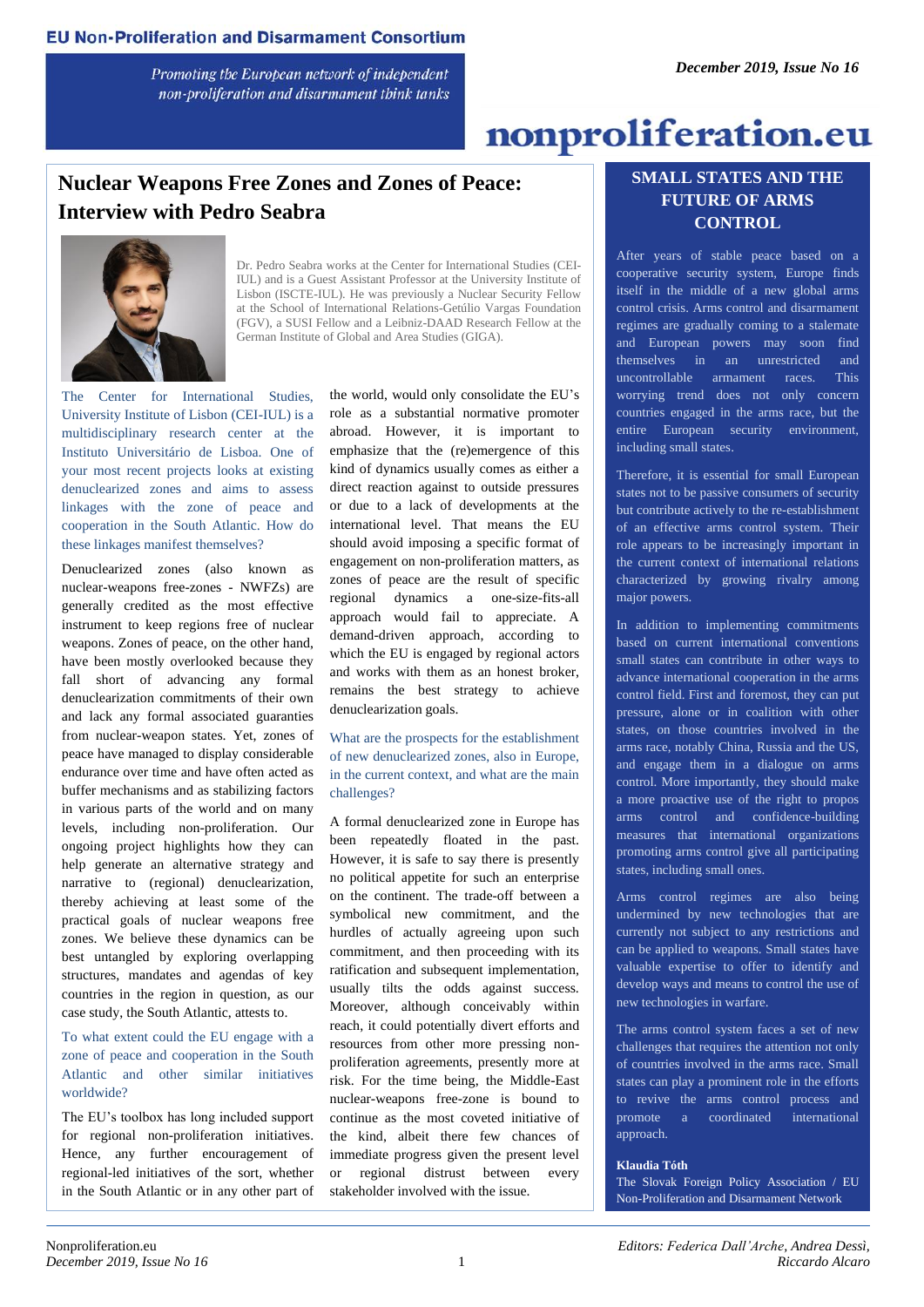Promoting the European network of independent non-proliferation and disarmament think tanks

# nonproliferation.eu

## **Nuclear Weapons Free Zones and Zones of Peace: Interview with Pedro Seabra**



Dr. Pedro Seabra works at the Center for International Studies (CEI-IUL) and is a Guest Assistant Professor at the University Institute of Lisbon (ISCTE-IUL). He was previously a Nuclear Security Fellow at the School of International Relations-Getúlio Vargas Foundation (FGV), a SUSI Fellow and a Leibniz-DAAD Research Fellow at the German Institute of Global and Area Studies (GIGA).

The Center for International Studies, University Institute of Lisbon (CEI-IUL) is a multidisciplinary research center at the Instituto Universitário de Lisboa. One of your most recent projects looks at existing denuclearized zones and aims to assess linkages with the zone of peace and cooperation in the South Atlantic. How do these linkages manifest themselves?

Denuclearized zones (also known as nuclear-weapons free-zones - NWFZs) are generally credited as the most effective instrument to keep regions free of nuclear weapons. Zones of peace, on the other hand, have been mostly overlooked because they fall short of advancing any formal denuclearization commitments of their own and lack any formal associated guaranties from nuclear-weapon states. Yet, zones of peace have managed to display considerable endurance over time and have often acted as buffer mechanisms and as stabilizing factors in various parts of the world and on many levels, including non-proliferation. Our ongoing project highlights how they can help generate an alternative strategy and narrative to (regional) denuclearization, thereby achieving at least some of the practical goals of nuclear weapons free zones. We believe these dynamics can be best untangled by exploring overlapping structures, mandates and agendas of key countries in the region in question, as our case study, the South Atlantic, attests to.

To what extent could the EU engage with a zone of peace and cooperation in the South Atlantic and other similar initiatives worldwide?

The EU's toolbox has long included support for regional non-proliferation initiatives. Hence, any further encouragement of regional-led initiatives of the sort, whether in the South Atlantic or in any other part of the world, would only consolidate the EU's role as a substantial normative promoter abroad. However, it is important to emphasize that the (re)emergence of this kind of dynamics usually comes as either a direct reaction against to outside pressures or due to a lack of developments at the international level. That means the EU should avoid imposing a specific format of engagement on non-proliferation matters, as zones of peace are the result of specific regional dynamics a one-size-fits-all approach would fail to appreciate. A demand-driven approach, according to which the EU is engaged by regional actors and works with them as an honest broker, remains the best strategy to achieve denuclearization goals.

What are the prospects for the establishment of new denuclearized zones, also in Europe, in the current context, and what are the main challenges?

A formal denuclearized zone in Europe has been repeatedly floated in the past. However, it is safe to say there is presently no political appetite for such an enterprise on the continent. The trade-off between a symbolical new commitment, and the hurdles of actually agreeing upon such commitment, and then proceeding with its ratification and subsequent implementation, usually tilts the odds against success. Moreover, although conceivably within reach, it could potentially divert efforts and resources from other more pressing nonproliferation agreements, presently more at risk. For the time being, the Middle-East nuclear-weapons free-zone is bound to continue as the most coveted initiative of the kind, albeit there few chances of immediate progress given the present level or regional distrust between every stakeholder involved with the issue.

#### **SMALL STATES AND THE FUTURE OF ARMS CONTROL**

After years of stable peace based on a cooperative security system, Europe finds itself in the middle of a new global arms control crisis. Arms control and disarmament regimes are gradually coming to a stalemate and European powers may soon find themselves in an unrestricted and uncontrollable armament races. This worrying trend does not only concern countries engaged in the arms race, but the entire European security environment, including small states.

Therefore, it is essential for small European states not to be passive consumers of security but contribute actively to the re-establishment of an effective arms control system. Their role appears to be increasingly important in the current context of international relations characterized by growing rivalry among major powers.

In addition to implementing commitments based on current international conventions small states can contribute in other ways to advance international cooperation in the arms control field. First and foremost, they can put pressure, alone or in coalition with other states, on those countries involved in the arms race, notably China, Russia and the US, and engage them in a dialogue on arms control. More importantly, they should make a more proactive use of the right to propos arms control and confidence-building measures that international organizations promoting arms control give all participating states, including small ones.

Arms control regimes are also being undermined by new technologies that are currently not subject to any restrictions and can be applied to weapons. Small states have valuable expertise to offer to identify and develop ways and means to control the use of new technologies in warfare.

The arms control system faces a set of new challenges that requires the attention not only of countries involved in the arms race. Small states can play a prominent role in the efforts to revive the arms control process and promote a coordinated international approach.

#### **Klaudia Tóth**

The Slovak Foreign Policy Association / EU Non-Proliferation and Disarmament Network

the